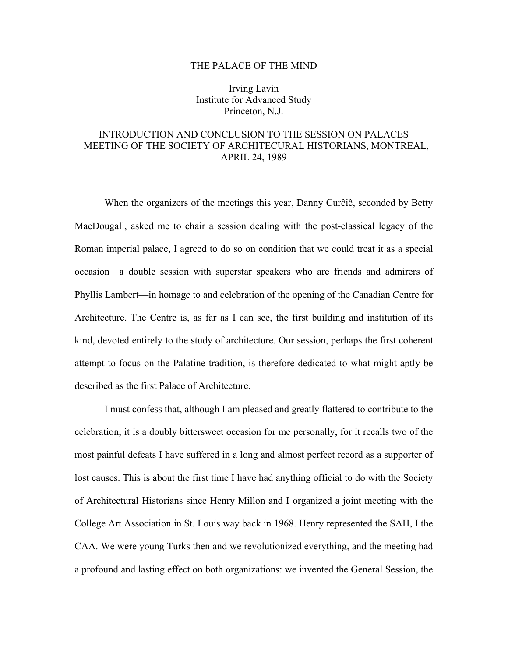## THE PALACE OF THE MIND

Irving Lavin Institute for Advanced Study Princeton, N.J.

## INTRODUCTION AND CONCLUSION TO THE SESSION ON PALACES MEETING OF THE SOCIETY OF ARCHITECURAL HISTORIANS, MONTREAL, APRIL 24, 1989

When the organizers of the meetings this year, Danny Curĉiĉ, seconded by Betty MacDougall, asked me to chair a session dealing with the post-classical legacy of the Roman imperial palace, I agreed to do so on condition that we could treat it as a special occasion—a double session with superstar speakers who are friends and admirers of Phyllis Lambert—in homage to and celebration of the opening of the Canadian Centre for Architecture. The Centre is, as far as I can see, the first building and institution of its kind, devoted entirely to the study of architecture. Our session, perhaps the first coherent attempt to focus on the Palatine tradition, is therefore dedicated to what might aptly be described as the first Palace of Architecture.

I must confess that, although I am pleased and greatly flattered to contribute to the celebration, it is a doubly bittersweet occasion for me personally, for it recalls two of the most painful defeats I have suffered in a long and almost perfect record as a supporter of lost causes. This is about the first time I have had anything official to do with the Society of Architectural Historians since Henry Millon and I organized a joint meeting with the College Art Association in St. Louis way back in 1968. Henry represented the SAH, I the CAA. We were young Turks then and we revolutionized everything, and the meeting had a profound and lasting effect on both organizations: we invented the General Session, the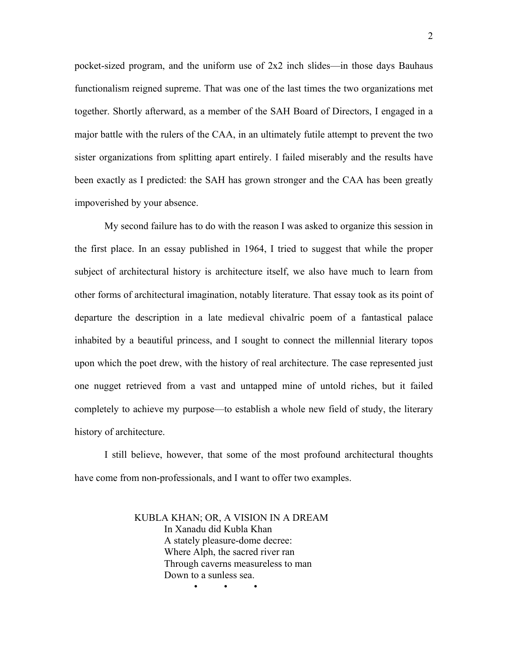pocket-sized program, and the uniform use of 2x2 inch slides—in those days Bauhaus functionalism reigned supreme. That was one of the last times the two organizations met together. Shortly afterward, as a member of the SAH Board of Directors, I engaged in a major battle with the rulers of the CAA, in an ultimately futile attempt to prevent the two sister organizations from splitting apart entirely. I failed miserably and the results have been exactly as I predicted: the SAH has grown stronger and the CAA has been greatly impoverished by your absence.

My second failure has to do with the reason I was asked to organize this session in the first place. In an essay published in 1964, I tried to suggest that while the proper subject of architectural history is architecture itself, we also have much to learn from other forms of architectural imagination, notably literature. That essay took as its point of departure the description in a late medieval chivalric poem of a fantastical palace inhabited by a beautiful princess, and I sought to connect the millennial literary topos upon which the poet drew, with the history of real architecture. The case represented just one nugget retrieved from a vast and untapped mine of untold riches, but it failed completely to achieve my purpose—to establish a whole new field of study, the literary history of architecture.

I still believe, however, that some of the most profound architectural thoughts have come from non-professionals, and I want to offer two examples.

> KUBLA KHAN; OR, A VISION IN A DREAM In Xanadu did Kubla Khan A stately pleasure-dome decree: Where Alph, the sacred river ran Through caverns measureless to man Down to a sunless sea. • • •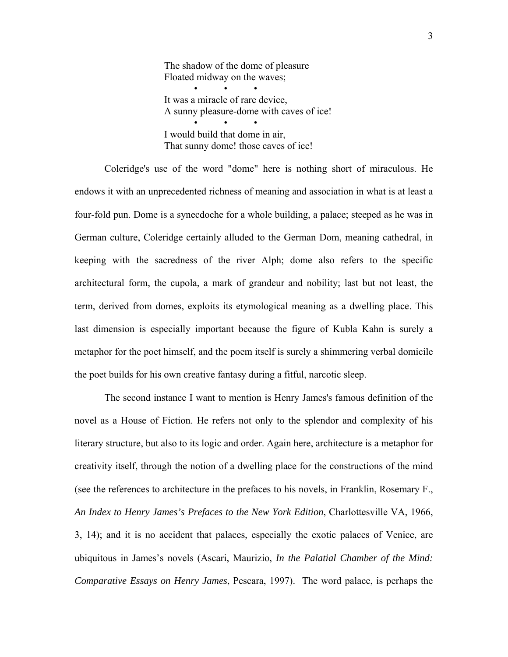The shadow of the dome of pleasure Floated midway on the waves; • • • It was a miracle of rare device, A sunny pleasure-dome with caves of ice! • • • I would build that dome in air, That sunny dome! those caves of ice!

Coleridge's use of the word "dome" here is nothing short of miraculous. He endows it with an unprecedented richness of meaning and association in what is at least a four-fold pun. Dome is a synecdoche for a whole building, a palace; steeped as he was in German culture, Coleridge certainly alluded to the German Dom, meaning cathedral, in keeping with the sacredness of the river Alph; dome also refers to the specific architectural form, the cupola, a mark of grandeur and nobility; last but not least, the term, derived from domes, exploits its etymological meaning as a dwelling place. This last dimension is especially important because the figure of Kubla Kahn is surely a metaphor for the poet himself, and the poem itself is surely a shimmering verbal domicile the poet builds for his own creative fantasy during a fitful, narcotic sleep.

The second instance I want to mention is Henry James's famous definition of the novel as a House of Fiction. He refers not only to the splendor and complexity of his literary structure, but also to its logic and order. Again here, architecture is a metaphor for creativity itself, through the notion of a dwelling place for the constructions of the mind (see the references to architecture in the prefaces to his novels, in Franklin, Rosemary F., *An Index to Henry James's Prefaces to the New York Edition*, Charlottesville VA, 1966, 3, 14); and it is no accident that palaces, especially the exotic palaces of Venice, are ubiquitous in James's novels (Ascari, Maurizio, *In the Palatial Chamber of the Mind: Comparative Essays on Henry James*, Pescara, 1997). The word palace, is perhaps the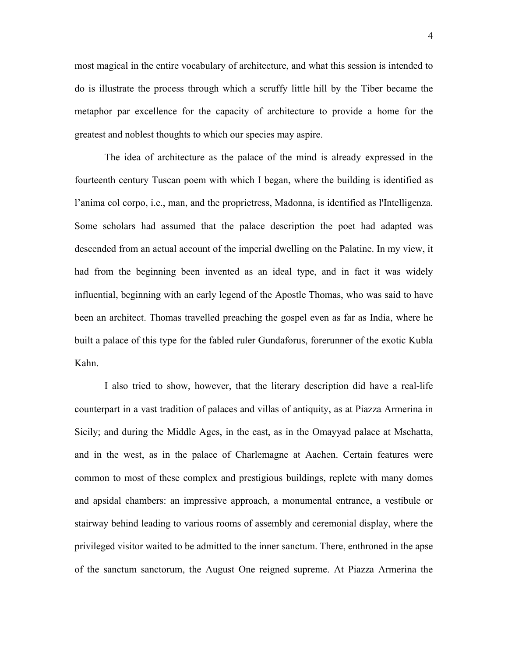most magical in the entire vocabulary of architecture, and what this session is intended to do is illustrate the process through which a scruffy little hill by the Tiber became the metaphor par excellence for the capacity of architecture to provide a home for the greatest and noblest thoughts to which our species may aspire.

The idea of architecture as the palace of the mind is already expressed in the fourteenth century Tuscan poem with which I began, where the building is identified as l'anima col corpo, i.e., man, and the proprietress, Madonna, is identified as l'Intelligenza. Some scholars had assumed that the palace description the poet had adapted was descended from an actual account of the imperial dwelling on the Palatine. In my view, it had from the beginning been invented as an ideal type, and in fact it was widely influential, beginning with an early legend of the Apostle Thomas, who was said to have been an architect. Thomas travelled preaching the gospel even as far as India, where he built a palace of this type for the fabled ruler Gundaforus, forerunner of the exotic Kubla Kahn.

I also tried to show, however, that the literary description did have a real-life counterpart in a vast tradition of palaces and villas of antiquity, as at Piazza Armerina in Sicily; and during the Middle Ages, in the east, as in the Omayyad palace at Mschatta, and in the west, as in the palace of Charlemagne at Aachen. Certain features were common to most of these complex and prestigious buildings, replete with many domes and apsidal chambers: an impressive approach, a monumental entrance, a vestibule or stairway behind leading to various rooms of assembly and ceremonial display, where the privileged visitor waited to be admitted to the inner sanctum. There, enthroned in the apse of the sanctum sanctorum, the August One reigned supreme. At Piazza Armerina the